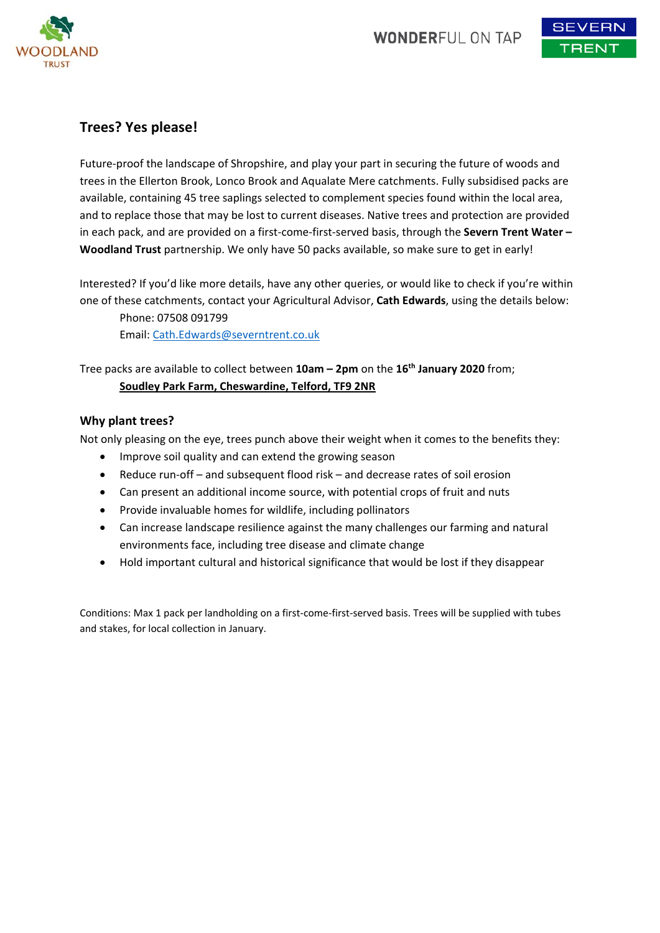

## **Trees? Yes please!**

Future‐proof the landscape of Shropshire, and play your part in securing the future of woods and trees in the Ellerton Brook, Lonco Brook and Aqualate Mere catchments. Fully subsidised packs are available, containing 45 tree saplings selected to complement species found within the local area, and to replace those that may be lost to current diseases. Native trees and protection are provided in each pack, and are provided on a first‐come‐first‐served basis, through the **Severn Trent Water – Woodland Trust** partnership. We only have 50 packs available, so make sure to get in early!

Interested? If you'd like more details, have any other queries, or would like to check if you're within one of these catchments, contact your Agricultural Advisor, **Cath Edwards**, using the details below: Phone: 07508 091799

Email: Cath.Edwards@severntrent.co.uk

## Tree packs are available to collect between **10am – 2pm** on the **16th January 2020** from; **Soudley Park Farm, Cheswardine, Telford, TF9 2NR**

## **Why plant trees?**

Not only pleasing on the eye, trees punch above their weight when it comes to the benefits they:

- Improve soil quality and can extend the growing season
- Reduce run‐off and subsequent flood risk and decrease rates of soil erosion
- Can present an additional income source, with potential crops of fruit and nuts
- Provide invaluable homes for wildlife, including pollinators
- Can increase landscape resilience against the many challenges our farming and natural environments face, including tree disease and climate change
- Hold important cultural and historical significance that would be lost if they disappear

Conditions: Max 1 pack per landholding on a first‐come‐first‐served basis. Trees will be supplied with tubes and stakes, for local collection in January.